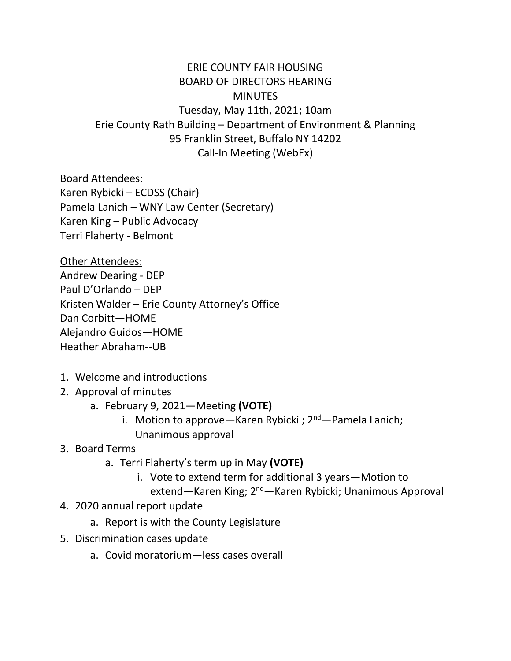## ERIE COUNTY FAIR HOUSING BOARD OF DIRECTORS HEARING **MINUTES** Tuesday, May 11th, 2021; 10am Erie County Rath Building – Department of Environment & Planning 95 Franklin Street, Buffalo NY 14202 Call-In Meeting (WebEx)

Board Attendees:

Karen Rybicki – ECDSS (Chair) Pamela Lanich – WNY Law Center (Secretary) Karen King – Public Advocacy Terri Flaherty - Belmont

Other Attendees: Andrew Dearing - DEP Paul D'Orlando – DEP Kristen Walder – Erie County Attorney's Office Dan Corbitt—HOME Alejandro Guidos—HOME Heather Abraham--UB

- 1. Welcome and introductions
- 2. Approval of minutes
	- a. February 9, 2021—Meeting **(VOTE)**
		- i. Motion to approve—Karen Rybicki ;  $2^{nd}$ —Pamela Lanich; Unanimous approval

## 3. Board Terms

- a. Terri Flaherty's term up in May **(VOTE)**
	- i. Vote to extend term for additional 3 years—Motion to
		- extend—Karen King; 2<sup>nd</sup>—Karen Rybicki; Unanimous Approval
- 4. 2020 annual report update
	- a. Report is with the County Legislature
- 5. Discrimination cases update
	- a. Covid moratorium—less cases overall